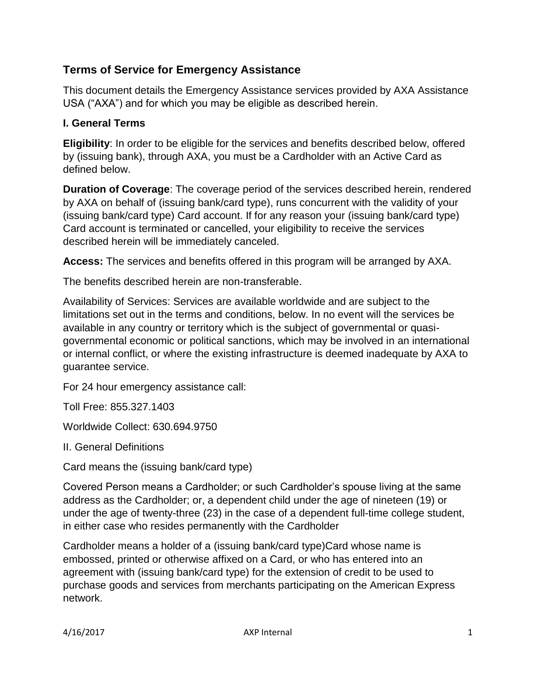# **Terms of Service for Emergency Assistance**

This document details the Emergency Assistance services provided by AXA Assistance USA ("AXA") and for which you may be eligible as described herein.

## **I. General Terms**

**Eligibility**: In order to be eligible for the services and benefits described below, offered by (issuing bank), through AXA, you must be a Cardholder with an Active Card as defined below.

**Duration of Coverage**: The coverage period of the services described herein, rendered by AXA on behalf of (issuing bank/card type), runs concurrent with the validity of your (issuing bank/card type) Card account. If for any reason your (issuing bank/card type) Card account is terminated or cancelled, your eligibility to receive the services described herein will be immediately canceled.

**Access:** The services and benefits offered in this program will be arranged by AXA.

The benefits described herein are non-transferable.

Availability of Services: Services are available worldwide and are subject to the limitations set out in the terms and conditions, below. In no event will the services be available in any country or territory which is the subject of governmental or quasigovernmental economic or political sanctions, which may be involved in an international or internal conflict, or where the existing infrastructure is deemed inadequate by AXA to guarantee service.

For 24 hour emergency assistance call:

Toll Free: 855.327.1403

Worldwide Collect: 630.694.9750

II. General Definitions

Card means the (issuing bank/card type)

Covered Person means a Cardholder; or such Cardholder's spouse living at the same address as the Cardholder; or, a dependent child under the age of nineteen (19) or under the age of twenty-three (23) in the case of a dependent full-time college student, in either case who resides permanently with the Cardholder

Cardholder means a holder of a (issuing bank/card type)Card whose name is embossed, printed or otherwise affixed on a Card, or who has entered into an agreement with (issuing bank/card type) for the extension of credit to be used to purchase goods and services from merchants participating on the American Express network.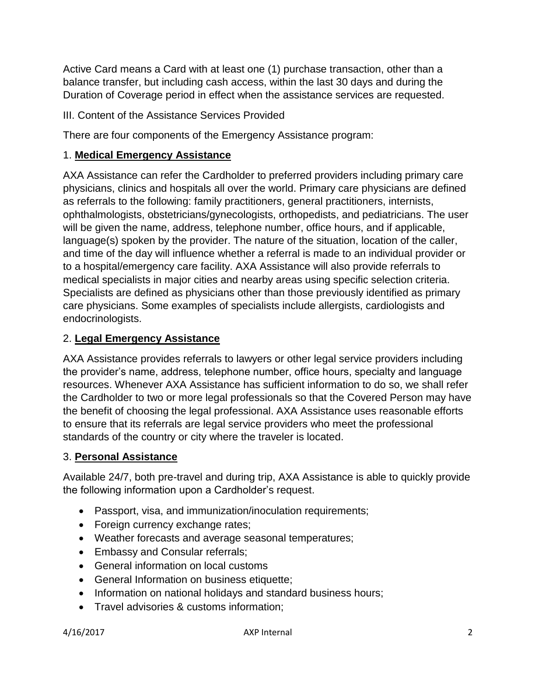Active Card means a Card with at least one (1) purchase transaction, other than a balance transfer, but including cash access, within the last 30 days and during the Duration of Coverage period in effect when the assistance services are requested.

#### III. Content of the Assistance Services Provided

There are four components of the Emergency Assistance program:

## 1. **Medical Emergency Assistance**

AXA Assistance can refer the Cardholder to preferred providers including primary care physicians, clinics and hospitals all over the world. Primary care physicians are defined as referrals to the following: family practitioners, general practitioners, internists, ophthalmologists, obstetricians/gynecologists, orthopedists, and pediatricians. The user will be given the name, address, telephone number, office hours, and if applicable, language(s) spoken by the provider. The nature of the situation, location of the caller, and time of the day will influence whether a referral is made to an individual provider or to a hospital/emergency care facility. AXA Assistance will also provide referrals to medical specialists in major cities and nearby areas using specific selection criteria. Specialists are defined as physicians other than those previously identified as primary care physicians. Some examples of specialists include allergists, cardiologists and endocrinologists.

## 2. **Legal Emergency Assistance**

AXA Assistance provides referrals to lawyers or other legal service providers including the provider's name, address, telephone number, office hours, specialty and language resources. Whenever AXA Assistance has sufficient information to do so, we shall refer the Cardholder to two or more legal professionals so that the Covered Person may have the benefit of choosing the legal professional. AXA Assistance uses reasonable efforts to ensure that its referrals are legal service providers who meet the professional standards of the country or city where the traveler is located.

#### 3. **Personal Assistance**

Available 24/7, both pre-travel and during trip, AXA Assistance is able to quickly provide the following information upon a Cardholder's request.

- Passport, visa, and immunization/inoculation requirements;
- Foreign currency exchange rates;
- Weather forecasts and average seasonal temperatures;
- Embassy and Consular referrals;
- General information on local customs
- General Information on business etiquette;
- Information on national holidays and standard business hours;
- Travel advisories & customs information;